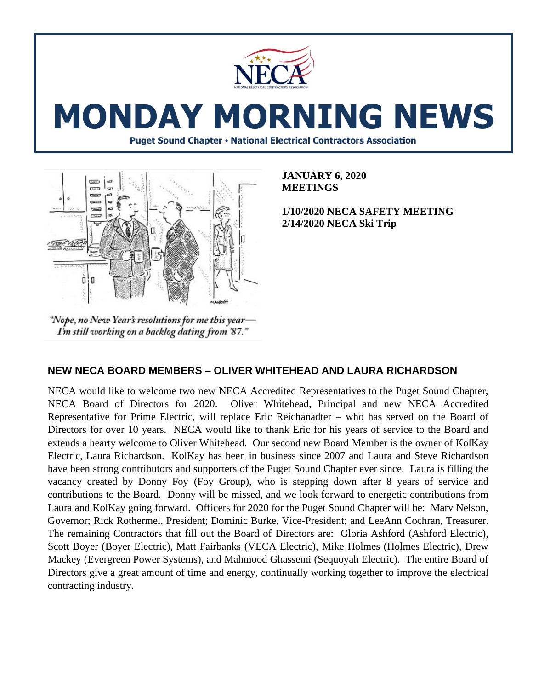

# **MONDAY MORNING NEWS**

**Puget Sound Chapter • National Electrical Contractors Association**



**JANUARY 6, 2020 MEETINGS**

**1/10/2020 NECA SAFETY MEETING 2/14/2020 NECA Ski Trip**

"Nope, no New Year's resolutions for me this year-I'm still working on a backlog dating from '87."

## **NEW NECA BOARD MEMBERS – OLIVER WHITEHEAD AND LAURA RICHARDSON**

NECA would like to welcome two new NECA Accredited Representatives to the Puget Sound Chapter, NECA Board of Directors for 2020. Oliver Whitehead, Principal and new NECA Accredited Representative for Prime Electric, will replace Eric Reichanadter – who has served on the Board of Directors for over 10 years. NECA would like to thank Eric for his years of service to the Board and extends a hearty welcome to Oliver Whitehead. Our second new Board Member is the owner of KolKay Electric, Laura Richardson. KolKay has been in business since 2007 and Laura and Steve Richardson have been strong contributors and supporters of the Puget Sound Chapter ever since. Laura is filling the vacancy created by Donny Foy (Foy Group), who is stepping down after 8 years of service and contributions to the Board. Donny will be missed, and we look forward to energetic contributions from Laura and KolKay going forward. Officers for 2020 for the Puget Sound Chapter will be: Marv Nelson, Governor; Rick Rothermel, President; Dominic Burke, Vice-President; and LeeAnn Cochran, Treasurer. The remaining Contractors that fill out the Board of Directors are: Gloria Ashford (Ashford Electric), Scott Boyer (Boyer Electric), Matt Fairbanks (VECA Electric), Mike Holmes (Holmes Electric), Drew Mackey (Evergreen Power Systems), and Mahmood Ghassemi (Sequoyah Electric). The entire Board of Directors give a great amount of time and energy, continually working together to improve the electrical contracting industry.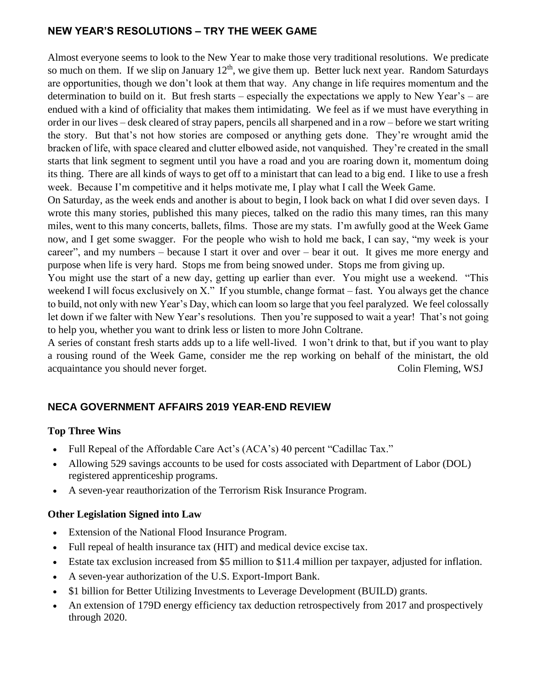## **NEW YEAR'S RESOLUTIONS – TRY THE WEEK GAME**

Almost everyone seems to look to the New Year to make those very traditional resolutions. We predicate so much on them. If we slip on January  $12<sup>th</sup>$ , we give them up. Better luck next year. Random Saturdays are opportunities, though we don't look at them that way. Any change in life requires momentum and the determination to build on it. But fresh starts – especially the expectations we apply to New Year's – are endued with a kind of officiality that makes them intimidating. We feel as if we must have everything in order in our lives – desk cleared of stray papers, pencils all sharpened and in a row – before we start writing the story. But that's not how stories are composed or anything gets done. They're wrought amid the bracken of life, with space cleared and clutter elbowed aside, not vanquished. They're created in the small starts that link segment to segment until you have a road and you are roaring down it, momentum doing its thing. There are all kinds of ways to get off to a ministart that can lead to a big end. I like to use a fresh week. Because I'm competitive and it helps motivate me, I play what I call the Week Game.

On Saturday, as the week ends and another is about to begin, I look back on what I did over seven days. I wrote this many stories, published this many pieces, talked on the radio this many times, ran this many miles, went to this many concerts, ballets, films. Those are my stats. I'm awfully good at the Week Game now, and I get some swagger. For the people who wish to hold me back, I can say, "my week is your career", and my numbers – because I start it over and over – bear it out. It gives me more energy and purpose when life is very hard. Stops me from being snowed under. Stops me from giving up.

You might use the start of a new day, getting up earlier than ever. You might use a weekend. "This weekend I will focus exclusively on X." If you stumble, change format – fast. You always get the chance to build, not only with new Year's Day, which can loom so large that you feel paralyzed. We feel colossally let down if we falter with New Year's resolutions. Then you're supposed to wait a year! That's not going to help you, whether you want to drink less or listen to more John Coltrane.

A series of constant fresh starts adds up to a life well-lived. I won't drink to that, but if you want to play a rousing round of the Week Game, consider me the rep working on behalf of the ministart, the old acquaintance you should never forget. Colin Fleming, WSJ

## **NECA GOVERNMENT AFFAIRS 2019 YEAR-END REVIEW**

#### **Top Three Wins**

- Full Repeal of the Affordable Care Act's (ACA's) 40 percent "Cadillac Tax."
- Allowing 529 savings accounts to be used for costs associated with Department of Labor (DOL) registered apprenticeship programs.
- A seven-year reauthorization of the Terrorism Risk Insurance Program.

#### **Other Legislation Signed into Law**

- Extension of the National Flood Insurance Program.
- Full repeal of health insurance tax (HIT) and medical device excise tax.
- Estate tax exclusion increased from \$5 million to \$11.4 million per taxpayer, adjusted for inflation.
- A seven-year authorization of the U.S. Export-Import Bank.
- \$1 billion for Better Utilizing Investments to Leverage Development (BUILD) grants.
- An extension of 179D energy efficiency tax deduction retrospectively from 2017 and prospectively through 2020.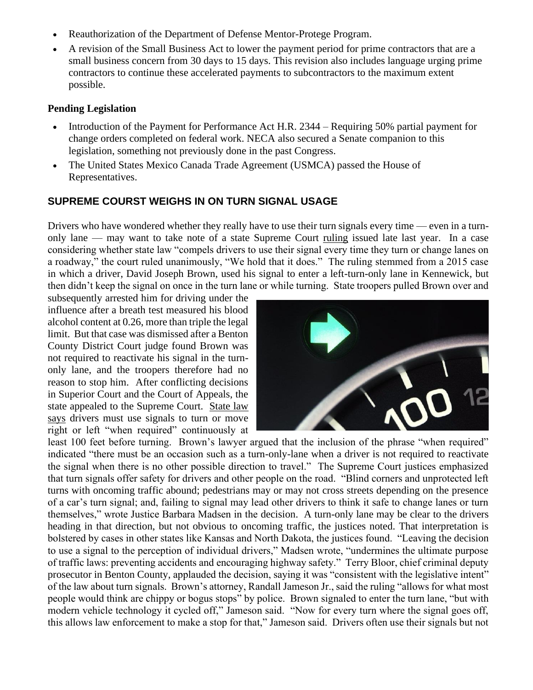- Reauthorization of the Department of Defense Mentor-Protege Program.
- A revision of the Small Business Act to lower the payment period for prime contractors that are a small business concern from 30 days to 15 days. This revision also includes language urging prime contractors to continue these accelerated payments to subcontractors to the maximum extent possible.

#### **Pending Legislation**

- Introduction of the Payment for Performance Act H.R. 2344 Requiring 50% partial payment for change orders completed on federal work. NECA also secured a Senate companion to this legislation, something not previously done in the past Congress.
- The United States Mexico Canada Trade Agreement (USMCA) passed the House of Representatives.

### **SUPREME COURST WEIGHS IN ON TURN SIGNAL USAGE**

Drivers who have wondered whether they really have to use their turn signals every time — even in a turnonly lane — may want to take note of a state Supreme Court [ruling](http://www.courts.wa.gov/opinions/pdf/968845.pdf) issued late last year. In a case considering whether state law "compels drivers to use their signal every time they turn or change lanes on a roadway," the court ruled unanimously, "We hold that it does." The ruling stemmed from a 2015 case in which a driver, David Joseph Brown, used his signal to enter a left-turn-only lane in Kennewick, but then didn't keep the signal on once in the turn lane or while turning. State troopers pulled Brown over and

subsequently arrested him for driving under the influence after a breath test measured his blood alcohol content at 0.26, more than triple the legal limit. But that case was dismissed after a Benton County District Court judge found Brown was not required to reactivate his signal in the turnonly lane, and the troopers therefore had no reason to stop him. After conflicting decisions in Superior Court and the Court of Appeals, the state appealed to the Supreme Court. [State law](https://app.leg.wa.gov/rcw/default.aspx?cite=46.61.305)  [says](https://app.leg.wa.gov/rcw/default.aspx?cite=46.61.305) drivers must use signals to turn or move right or left "when required" continuously at



least 100 feet before turning. Brown's lawyer argued that the inclusion of the phrase "when required" indicated "there must be an occasion such as a turn-only-lane when a driver is not required to reactivate the signal when there is no other possible direction to travel." The Supreme Court justices emphasized that turn signals offer safety for drivers and other people on the road. "Blind corners and unprotected left turns with oncoming traffic abound; pedestrians may or may not cross streets depending on the presence of a car's turn signal; and, failing to signal may lead other drivers to think it safe to change lanes or turn themselves," wrote Justice Barbara Madsen in the decision. A turn-only lane may be clear to the drivers heading in that direction, but not obvious to oncoming traffic, the justices noted. That interpretation is bolstered by cases in other states like Kansas and North Dakota, the justices found. "Leaving the decision to use a signal to the perception of individual drivers," Madsen wrote, "undermines the ultimate purpose of traffic laws: preventing accidents and encouraging highway safety." Terry Bloor, chief criminal deputy prosecutor in Benton County, applauded the decision, saying it was "consistent with the legislative intent" of the law about turn signals. Brown's attorney, Randall Jameson Jr., said the ruling "allows for what most people would think are chippy or bogus stops" by police. Brown signaled to enter the turn lane, "but with modern vehicle technology it cycled off," Jameson said. "Now for every turn where the signal goes off, this allows law enforcement to make a stop for that," Jameson said. Drivers often use their signals but not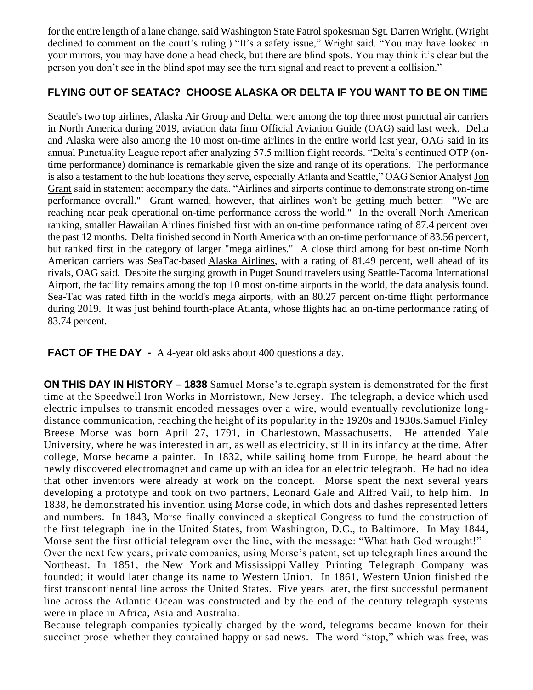for the entire length of a lane change, said Washington State Patrol spokesman Sgt. Darren Wright. (Wright declined to comment on the court's ruling.) "It's a safety issue," Wright said. "You may have looked in your mirrors, you may have done a head check, but there are blind spots. You may think it's clear but the person you don't see in the blind spot may see the turn signal and react to prevent a collision."

## **FLYING OUT OF SEATAC? CHOOSE ALASKA OR DELTA IF YOU WANT TO BE ON TIME**

Seattle's two top airlines, Alaska Air Group and Delta, were among the top three most punctual air carriers in North America during 2019, aviation data firm Official Aviation Guide (OAG) said last week. Delta and Alaska were also among the 10 most on-time airlines in the entire world last year, OAG said in its annual Punctuality League report after analyzing 57.5 million flight records. "Delta's continued OTP (ontime performance) dominance is remarkable given the size and range of its operations. The performance is also a testament to the hub locations they serve, especially Atlanta and Seattle," OAG Senior Analyst [Jon](https://www.bizjournals.com/seattle/search/results?q=Jon%20Grant)  [Grant](https://www.bizjournals.com/seattle/search/results?q=Jon%20Grant) said in statement accompany the data. "Airlines and airports continue to demonstrate strong on-time performance overall." Grant warned, however, that airlines won't be getting much better: "We are reaching near peak operational on-time performance across the world." In the overall North American ranking, smaller Hawaiian Airlines finished first with an on-time performance rating of 87.4 percent over the past 12 months. Delta finished second in North America with an on-time performance of 83.56 percent, but ranked first in the category of larger "mega airlines." A close third among for best on-time North American carriers was SeaTac-based [Alaska Airlines,](https://www.bizjournals.com/profile/company/org_ch_d3c8147ecbdb7241ebda1ecf751e029f) with a rating of 81.49 percent, well ahead of its rivals, OAG said. Despite the surging growth in Puget Sound travelers using Seattle-Tacoma International Airport, the facility remains among the top 10 most on-time airports in the world, the data analysis found. Sea-Tac was rated fifth in the world's mega airports, with an 80.27 percent on-time flight performance during 2019. It was just behind fourth-place Atlanta, whose flights had an on-time performance rating of 83.74 percent.

**FACT OF THE DAY** - A 4-year old asks about 400 questions a day.

**ON THIS DAY IN HISTORY – 1838** Samuel Morse's telegraph system is demonstrated for the first time at the Speedwell Iron Works in Morristown, [New Jersey.](https://www.history.com/topics/us-states/new-jersey) The telegraph, a device which used electric impulses to transmit encoded messages over a wire, would eventually revolutionize longdistance communication, reaching the height of its popularity in the 1920s and 1930s.Samuel Finley Breese Morse was born April 27, 1791, in Charlestown, [Massachusetts.](https://www.history.com/topics/us-states/massachusetts) He attended Yale University, where he was interested in art, as well as electricity, still in its infancy at the time. After college, Morse became a painter. In 1832, while sailing home from Europe, he heard about the newly discovered electromagnet and came up with an idea for an electric telegraph. He had no idea that other inventors were already at work on the concept. Morse spent the next several years developing a prototype and took on two partners, Leonard Gale and Alfred Vail, to help him. In 1838, he demonstrated his invention using Morse code, in which dots and dashes represented letters and numbers. In 1843, Morse finally convinced a skeptical Congress to fund the construction of the first telegraph line in the United States, from Washington, D.C., to Baltimore. In May 1844, Morse [sent the first official telegram](https://www.history.com/this-day-in-history/what-hath-god-wrought) over the line, with the message: "What hath God wrought!" Over the next few years, private companies, using Morse's patent, set up telegraph lines around the Northeast. In 1851, the [New York](https://www.history.com/topics/us-states/new-york) and [Mississippi](https://www.history.com/topics/us-states/mississippi) Valley Printing Telegraph Company was founded; it would later change its name to Western Union. In 1861, Western Union finished the first transcontinental line across the United States. Five years later, the first successful permanent line across the Atlantic Ocean was constructed and by the end of the century telegraph systems were in place in Africa, Asia and Australia.

Because telegraph companies typically charged by the word, telegrams became known for their succinct prose–whether they contained happy or sad news. The word "stop," which was free, was